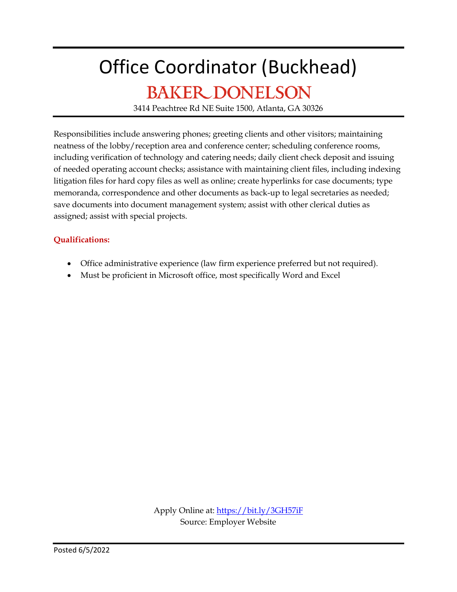### Office Coordinator (Buckhead)

### **BAKER DONELSON**

3414 Peachtree Rd NE Suite 1500, Atlanta, GA 30326

Responsibilities include answering phones; greeting clients and other visitors; maintaining neatness of the lobby/reception area and conference center; scheduling conference rooms, including verification of technology and catering needs; daily client check deposit and issuing of needed operating account checks; assistance with maintaining client files, including indexing litigation files for hard copy files as well as online; create hyperlinks for case documents; type memoranda, correspondence and other documents as back-up to legal secretaries as needed; save documents into document management system; assist with other clerical duties as assigned; assist with special projects.

#### **Qualifications:**

- Office administrative experience (law firm experience preferred but not required).
- Must be proficient in Microsoft office, most specifically Word and Excel

Apply Online at:<https://bit.ly/3GH57iF> Source: Employer Website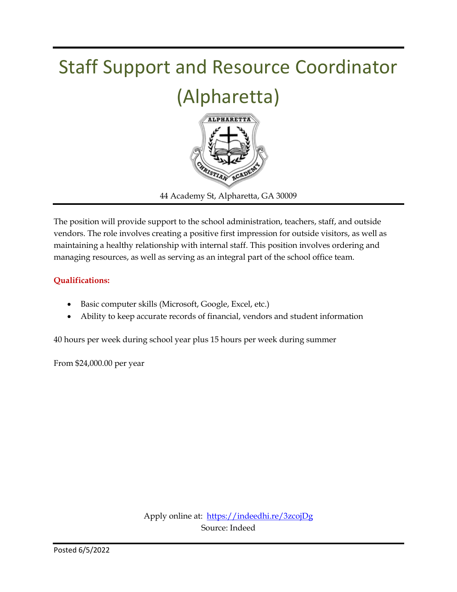

The position will provide support to the school administration, teachers, staff, and outside vendors. The role involves creating a positive first impression for outside visitors, as well as maintaining a healthy relationship with internal staff. This position involves ordering and managing resources, as well as serving as an integral part of the school office team.

#### **Qualifications:**

- Basic computer skills (Microsoft, Google, Excel, etc.)
- Ability to keep accurate records of financial, vendors and student information

40 hours per week during school year plus 15 hours per week during summer

From \$24,000.00 per year

Apply online at: <https://indeedhi.re/3zcojDg> Source: Indeed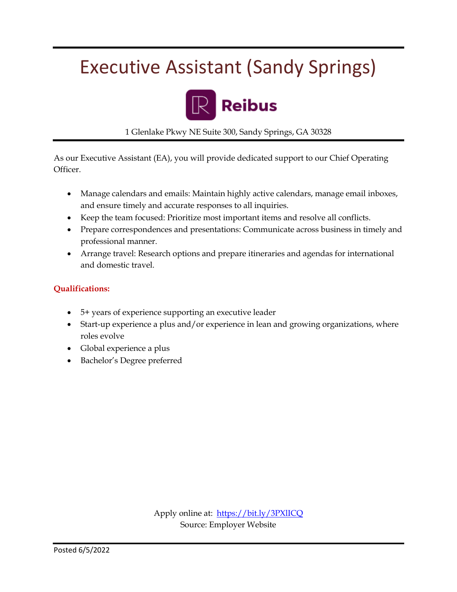### Executive Assistant (Sandy Springs)



1 Glenlake Pkwy NE Suite 300, Sandy Springs, GA 30328

As our Executive Assistant (EA), you will provide dedicated support to our Chief Operating Officer.

- Manage calendars and emails: Maintain highly active calendars, manage email inboxes, and ensure timely and accurate responses to all inquiries.
- Keep the team focused: Prioritize most important items and resolve all conflicts.
- Prepare correspondences and presentations: Communicate across business in timely and professional manner.
- Arrange travel: Research options and prepare itineraries and agendas for international and domestic travel.

#### **Qualifications:**

- 5+ years of experience supporting an executive leader
- Start-up experience a plus and/or experience in lean and growing organizations, where roles evolve
- Global experience a plus
- Bachelor's Degree preferred

Apply online at: <https://bit.ly/3PXlICQ> Source: Employer Website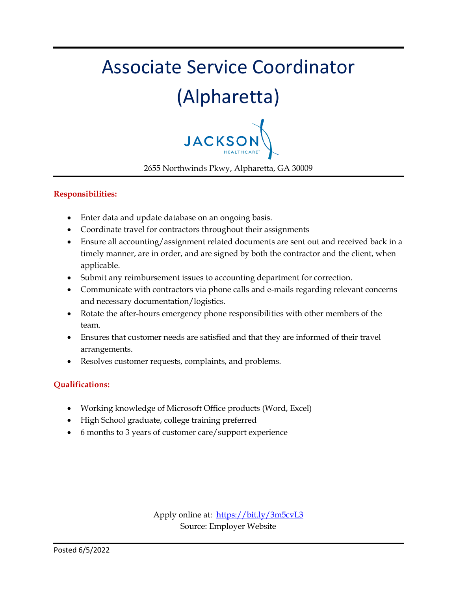# Associate Service Coordinator

### (Alpharetta)



2655 Northwinds Pkwy, Alpharetta, GA 30009

#### **Responsibilities:**

- Enter data and update database on an ongoing basis.
- Coordinate travel for contractors throughout their assignments
- Ensure all accounting/assignment related documents are sent out and received back in a timely manner, are in order, and are signed by both the contractor and the client, when applicable.
- Submit any reimbursement issues to accounting department for correction.
- Communicate with contractors via phone calls and e-mails regarding relevant concerns and necessary documentation/logistics.
- Rotate the after-hours emergency phone responsibilities with other members of the team.
- Ensures that customer needs are satisfied and that they are informed of their travel arrangements.
- Resolves customer requests, complaints, and problems.

#### **Qualifications:**

- Working knowledge of Microsoft Office products (Word, Excel)
- High School graduate, college training preferred
- 6 months to 3 years of customer care/support experience

Apply online at: <https://bit.ly/3m5cvL3> Source: Employer Website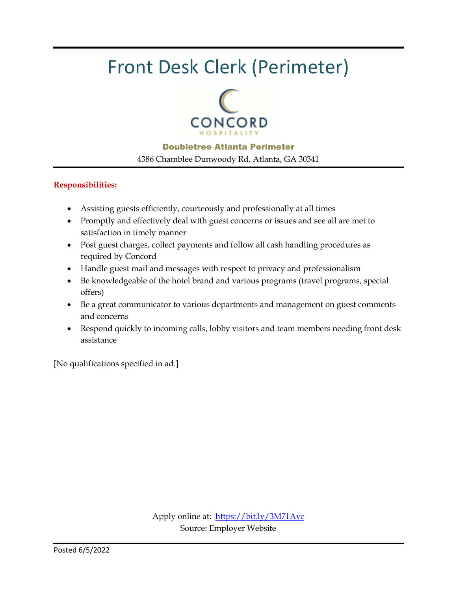### Front Desk Clerk (Perimeter)



Doubletree Atlanta Perimeter 4386 Chamblee Dunwoody Rd, Atlanta, GA 30341

#### **Responsibilities:**

- Assisting guests efficiently, courteously and professionally at all times
- Promptly and effectively deal with guest concerns or issues and see all are met to satisfaction in timely manner
- Post guest charges, collect payments and follow all cash handling procedures as required by Concord
- Handle guest mail and messages with respect to privacy and professionalism
- Be knowledgeable of the hotel brand and various programs (travel programs, special offers)
- Be a great communicator to various departments and management on guest comments and concerns
- Respond quickly to incoming calls, lobby visitors and team members needing front desk assistance

[No qualifications specified in ad.]

Apply online at:<https://bit.ly/3M71Avc> Source: Employer Website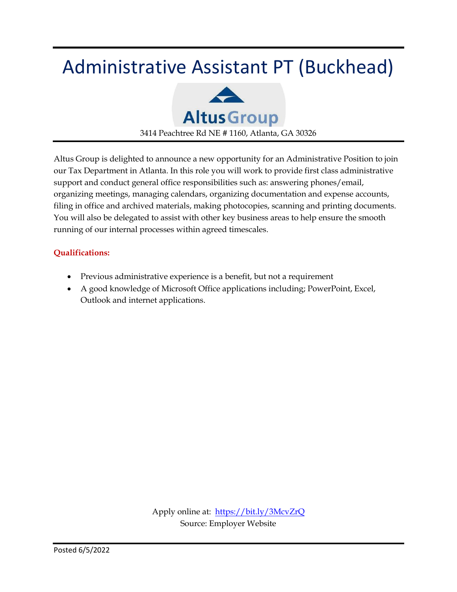### Administrative Assistant PT (Buckhead)



Altus Group is delighted to announce a new opportunity for an Administrative Position to join our Tax Department in Atlanta. In this role you will work to provide first class administrative support and conduct general office responsibilities such as: answering phones/email, organizing meetings, managing calendars, organizing documentation and expense accounts, filing in office and archived materials, making photocopies, scanning and printing documents. You will also be delegated to assist with other key business areas to help ensure the smooth running of our internal processes within agreed timescales.

#### **Qualifications:**

- Previous administrative experience is a benefit, but not a requirement
- A good knowledge of Microsoft Office applications including; PowerPoint, Excel, Outlook and internet applications.

Apply online at: <https://bit.ly/3McvZrQ> Source: Employer Website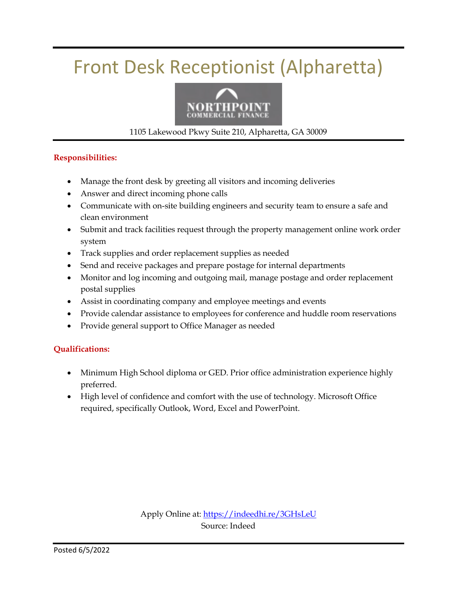### Front Desk Receptionist (Alpharetta)



1105 Lakewood Pkwy Suite 210, Alpharetta, GA 30009

#### **Responsibilities:**

- Manage the front desk by greeting all visitors and incoming deliveries
- Answer and direct incoming phone calls
- Communicate with on-site building engineers and security team to ensure a safe and clean environment
- Submit and track facilities request through the property management online work order system
- Track supplies and order replacement supplies as needed
- Send and receive packages and prepare postage for internal departments
- Monitor and log incoming and outgoing mail, manage postage and order replacement postal supplies
- Assist in coordinating company and employee meetings and events
- Provide calendar assistance to employees for conference and huddle room reservations
- Provide general support to Office Manager as needed

#### **Qualifications:**

- Minimum High School diploma or GED. Prior office administration experience highly preferred.
- High level of confidence and comfort with the use of technology. Microsoft Office required, specifically Outlook, Word, Excel and PowerPoint.

Apply Online at:<https://indeedhi.re/3GHsLeU> Source: Indeed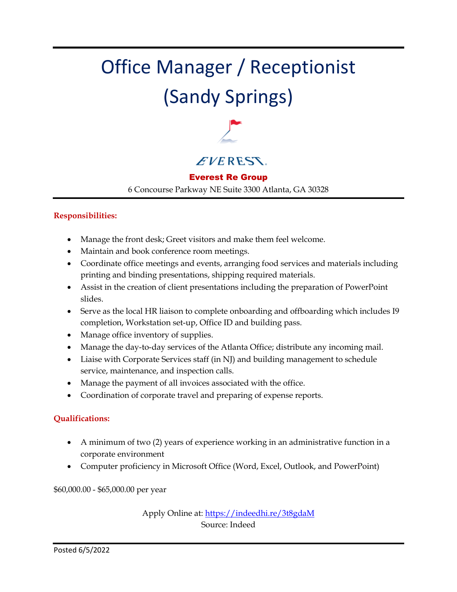## Office Manager / Receptionist (Sandy Springs)



#### **EVERESS**.

#### Everest Re Group

6 Concourse Parkway NE Suite 3300 Atlanta, GA 30328

#### **Responsibilities:**

- Manage the front desk; Greet visitors and make them feel welcome.
- Maintain and book conference room meetings.
- Coordinate office meetings and events, arranging food services and materials including printing and binding presentations, shipping required materials.
- Assist in the creation of client presentations including the preparation of PowerPoint slides.
- Serve as the local HR liaison to complete onboarding and offboarding which includes I9 completion, Workstation set-up, Office ID and building pass.
- Manage office inventory of supplies.
- Manage the day-to-day services of the Atlanta Office; distribute any incoming mail.
- Liaise with Corporate Services staff (in NJ) and building management to schedule service, maintenance, and inspection calls.
- Manage the payment of all invoices associated with the office.
- Coordination of corporate travel and preparing of expense reports.

#### **Qualifications:**

- A minimum of two (2) years of experience working in an administrative function in a corporate environment
- Computer proficiency in Microsoft Office (Word, Excel, Outlook, and PowerPoint)

\$60,000.00 - \$65,000.00 per year

Apply Online at:<https://indeedhi.re/3t8gdaM> Source: Indeed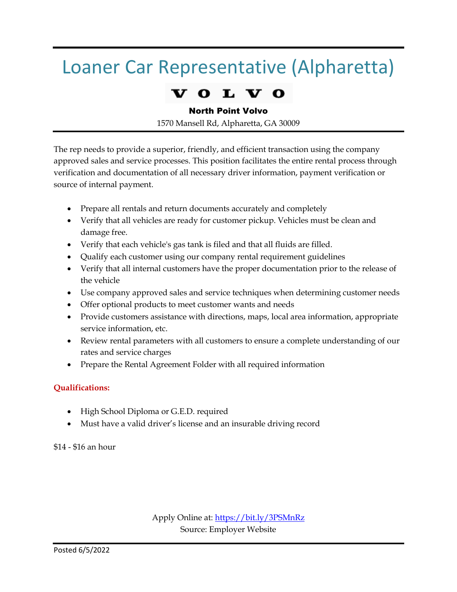### Loaner Car Representative (Alpharetta)

#### L

#### North Point Volvo

1570 Mansell Rd, Alpharetta, GA 30009

The rep needs to provide a superior, friendly, and efficient transaction using the company approved sales and service processes. This position facilitates the entire rental process through verification and documentation of all necessary driver information, payment verification or source of internal payment.

- Prepare all rentals and return documents accurately and completely
- Verify that all vehicles are ready for customer pickup. Vehicles must be clean and damage free.
- Verify that each vehicle's gas tank is filed and that all fluids are filled.
- Qualify each customer using our company rental requirement guidelines
- Verify that all internal customers have the proper documentation prior to the release of the vehicle
- Use company approved sales and service techniques when determining customer needs
- Offer optional products to meet customer wants and needs
- Provide customers assistance with directions, maps, local area information, appropriate service information, etc.
- Review rental parameters with all customers to ensure a complete understanding of our rates and service charges
- Prepare the Rental Agreement Folder with all required information

#### **Qualifications:**

- High School Diploma or G.E.D. required
- Must have a valid driver's license and an insurable driving record

\$14 - \$16 an hour

Apply Online at:<https://bit.ly/3PSMnRz> Source: Employer Website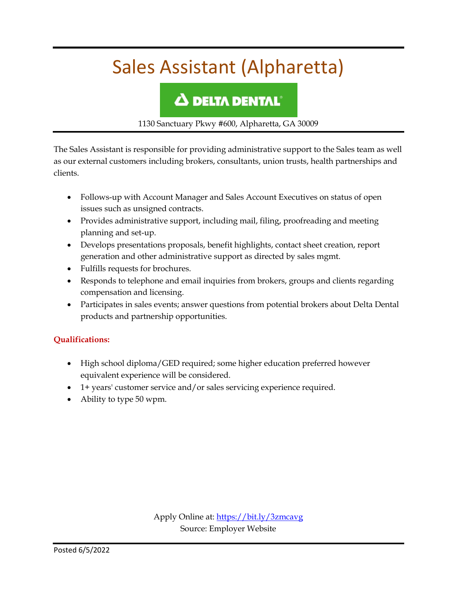### Sales Assistant (Alpharetta)

### **A DELTA DENTAL**

1130 Sanctuary Pkwy #600, Alpharetta, GA 30009

The Sales Assistant is responsible for providing administrative support to the Sales team as well as our external customers including brokers, consultants, union trusts, health partnerships and clients.

- Follows-up with Account Manager and Sales Account Executives on status of open issues such as unsigned contracts.
- Provides administrative support, including mail, filing, proofreading and meeting planning and set-up.
- Develops presentations proposals, benefit highlights, contact sheet creation, report generation and other administrative support as directed by sales mgmt.
- Fulfills requests for brochures.
- Responds to telephone and email inquiries from brokers, groups and clients regarding compensation and licensing.
- Participates in sales events; answer questions from potential brokers about Delta Dental products and partnership opportunities.

#### **Qualifications:**

- High school diploma/GED required; some higher education preferred however equivalent experience will be considered.
- 1+ years' customer service and/or sales servicing experience required.
- Ability to type 50 wpm.

Apply Online at:<https://bit.ly/3zmcavg> Source: Employer Website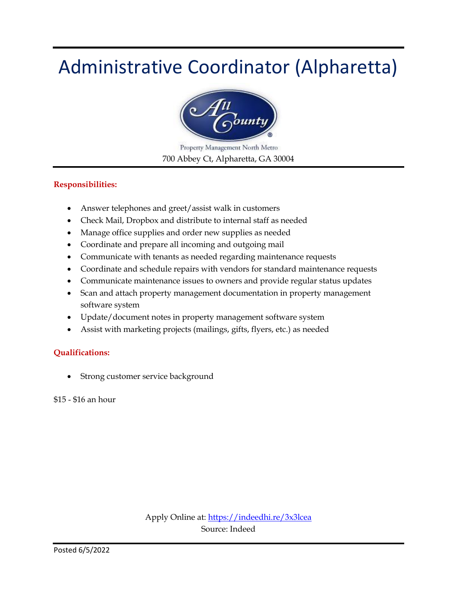### Administrative Coordinator (Alpharetta)



Property Management North Metro 700 Abbey Ct, Alpharetta, GA 30004

#### **Responsibilities:**

- Answer telephones and greet/assist walk in customers
- Check Mail, Dropbox and distribute to internal staff as needed
- Manage office supplies and order new supplies as needed
- Coordinate and prepare all incoming and outgoing mail
- Communicate with tenants as needed regarding maintenance requests
- Coordinate and schedule repairs with vendors for standard maintenance requests
- Communicate maintenance issues to owners and provide regular status updates
- Scan and attach property management documentation in property management software system
- Update/document notes in property management software system
- Assist with marketing projects (mailings, gifts, flyers, etc.) as needed

#### **Qualifications:**

Strong customer service background

\$15 - \$16 an hour

Apply Online at:<https://indeedhi.re/3x3lcea> Source: Indeed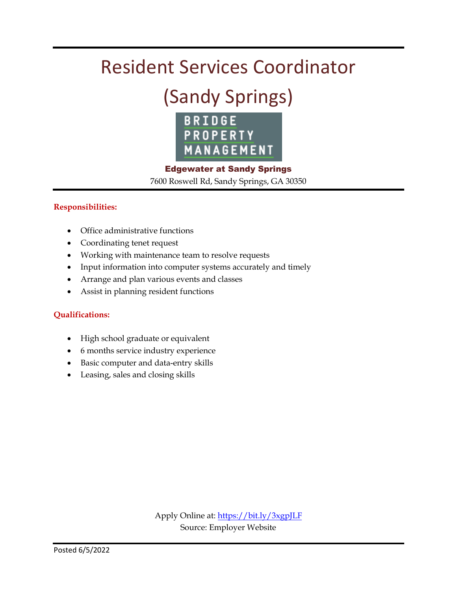### Resident Services Coordinator

### (Sandy Springs)



Edgewater at Sandy Springs 7600 Roswell Rd, Sandy Springs, GA 30350

#### **Responsibilities:**

- Office administrative functions
- Coordinating tenet request
- Working with maintenance team to resolve requests
- Input information into computer systems accurately and timely
- Arrange and plan various events and classes
- Assist in planning resident functions

#### **Qualifications:**

- High school graduate or equivalent
- 6 months service industry experience
- Basic computer and data-entry skills
- Leasing, sales and closing skills

Apply Online at[: https://bit.ly/3xgpJLF](https://bit.ly/3xgpJLF) Source: Employer Website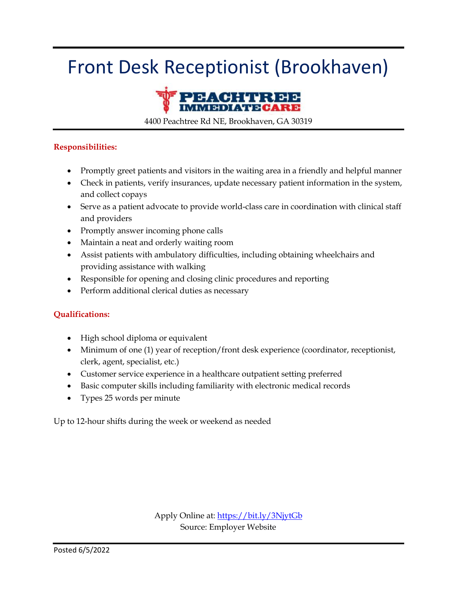### Front Desk Receptionist (Brookhaven)



4400 Peachtree Rd NE, Brookhaven, GA 30319

#### **Responsibilities:**

- Promptly greet patients and visitors in the waiting area in a friendly and helpful manner
- Check in patients, verify insurances, update necessary patient information in the system, and collect copays
- Serve as a patient advocate to provide world-class care in coordination with clinical staff and providers
- Promptly answer incoming phone calls
- Maintain a neat and orderly waiting room
- Assist patients with ambulatory difficulties, including obtaining wheelchairs and providing assistance with walking
- Responsible for opening and closing clinic procedures and reporting
- Perform additional clerical duties as necessary

#### **Qualifications:**

- High school diploma or equivalent
- Minimum of one (1) year of reception/front desk experience (coordinator, receptionist, clerk, agent, specialist, etc.)
- Customer service experience in a healthcare outpatient setting preferred
- Basic computer skills including familiarity with electronic medical records
- Types 25 words per minute

Up to 12-hour shifts during the week or weekend as needed

Apply Online at:<https://bit.ly/3NjytGb> Source: Employer Website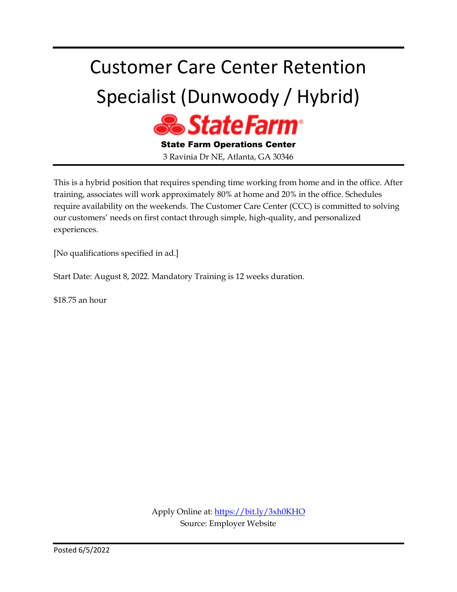# Customer Care Center Retention Specialist (Dunwoody / Hybrid)



State Farm Operations Center 3 Ravinia Dr NE, Atlanta, GA 30346

This is a hybrid position that requires spending time working from home and in the office. After training, associates will work approximately 80% at home and 20% in the office. Schedules require availability on the weekends. The Customer Care Center (CCC) is committed to solving our customers' needs on first contact through simple, high-quality, and personalized experiences.

[No qualifications specified in ad.]

Start Date: August 8, 2022. Mandatory Training is 12 weeks duration.

\$18.75 an hour

Apply Online at:<https://bit.ly/3xh0KHO> Source: Employer Website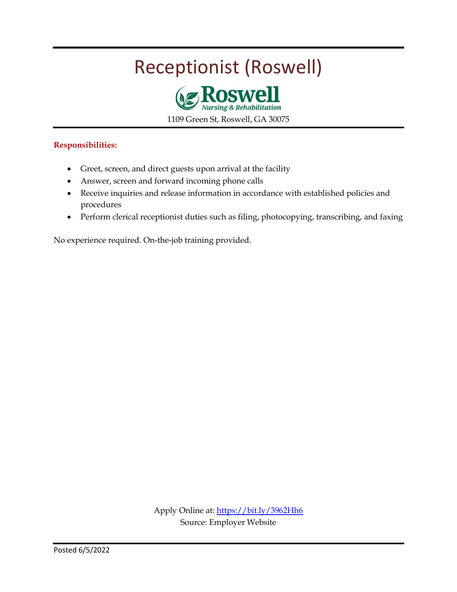### Receptionist (Roswell)



1109 Green St, Roswell, GA 30075

#### **Responsibilities:**

- Greet, screen, and direct guests upon arrival at the facility
- Answer, screen and forward incoming phone calls
- Receive inquiries and release information in accordance with established policies and procedures
- Perform clerical receptionist duties such as filing, photocopying, transcribing, and faxing

No experience required. On-the-job training provided.

Apply Online at:<https://bit.ly/3962Hh6> Source: Employer Website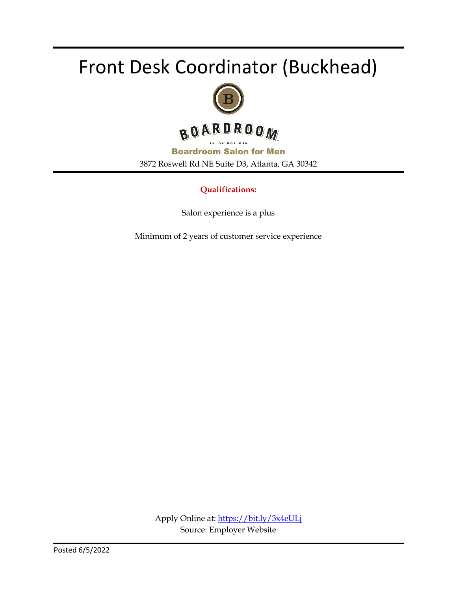### Front Desk Coordinator (Buckhead)





Boardroom Salon for Men 3872 Roswell Rd NE Suite D3, Atlanta, GA 30342

#### **Qualifications:**

Salon experience is a plus

Minimum of 2 years of customer service experience

Apply Online at:<https://bit.ly/3x4eULj> Source: Employer Website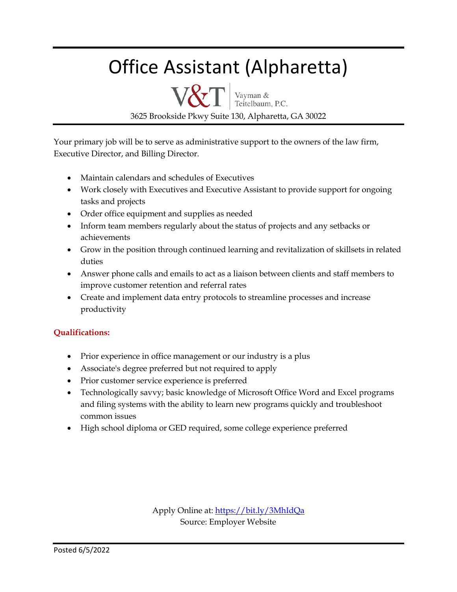### Office Assistant (Alpharetta)

 $\text{V&T}$  Vayman & 3625 Brookside Pkwy Suite 130, Alpharetta, GA 30022

Your primary job will be to serve as administrative support to the owners of the law firm, Executive Director, and Billing Director.

- Maintain calendars and schedules of Executives
- Work closely with Executives and Executive Assistant to provide support for ongoing tasks and projects
- Order office equipment and supplies as needed
- Inform team members regularly about the status of projects and any setbacks or achievements
- Grow in the position through continued learning and revitalization of skillsets in related duties
- Answer phone calls and emails to act as a liaison between clients and staff members to improve customer retention and referral rates
- Create and implement data entry protocols to streamline processes and increase productivity

#### **Qualifications:**

- Prior experience in office management or our industry is a plus
- Associate's degree preferred but not required to apply
- Prior customer service experience is preferred
- Technologically savvy; basic knowledge of Microsoft Office Word and Excel programs and filing systems with the ability to learn new programs quickly and troubleshoot common issues
- High school diploma or GED required, some college experience preferred

Apply Online at:<https://bit.ly/3MhIdQa> Source: Employer Website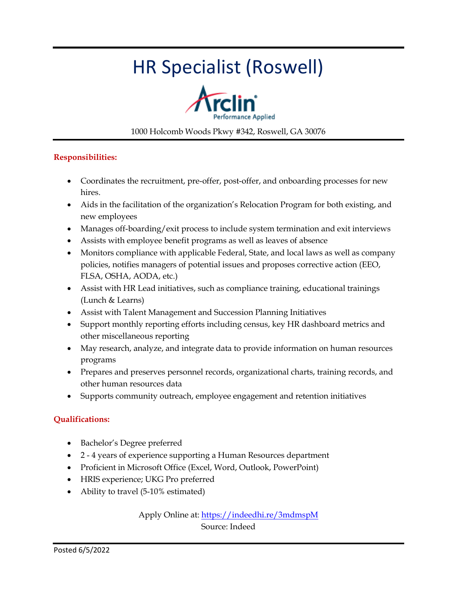### HR Specialist (Roswell)



#### 1000 Holcomb Woods Pkwy #342, Roswell, GA 30076

#### **Responsibilities:**

- Coordinates the recruitment, pre-offer, post-offer, and onboarding processes for new hires.
- Aids in the facilitation of the organization's Relocation Program for both existing, and new employees
- Manages off-boarding/exit process to include system termination and exit interviews
- Assists with employee benefit programs as well as leaves of absence
- Monitors compliance with applicable Federal, State, and local laws as well as company policies, notifies managers of potential issues and proposes corrective action (EEO, FLSA, OSHA, AODA, etc.)
- Assist with HR Lead initiatives, such as compliance training, educational trainings (Lunch & Learns)
- Assist with Talent Management and Succession Planning Initiatives
- Support monthly reporting efforts including census, key HR dashboard metrics and other miscellaneous reporting
- May research, analyze, and integrate data to provide information on human resources programs
- Prepares and preserves personnel records, organizational charts, training records, and other human resources data
- Supports community outreach, employee engagement and retention initiatives

#### **Qualifications:**

- Bachelor's Degree preferred
- 2 4 years of experience supporting a Human Resources department
- Proficient in Microsoft Office (Excel, Word, Outlook, PowerPoint)
- HRIS experience; UKG Pro preferred
- Ability to travel (5-10% estimated)

Apply Online at:<https://indeedhi.re/3mdmspM> Source: Indeed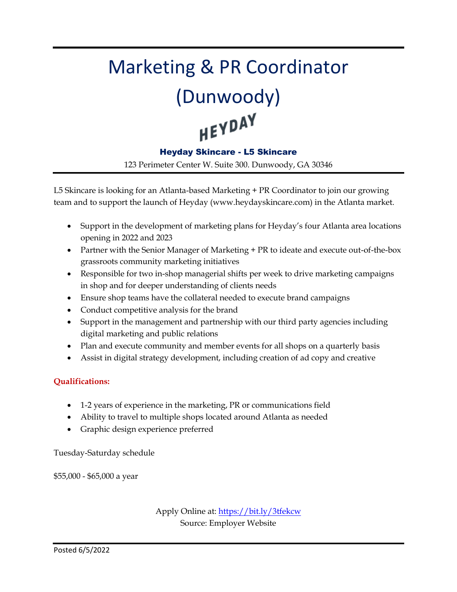# Marketing & PR Coordinator (Dunwoody)<br>HEYPAY

#### Heyday Skincare - L5 Skincare

123 Perimeter Center W. Suite 300. Dunwoody, GA 30346

L5 Skincare is looking for an Atlanta-based Marketing + PR Coordinator to join our growing team and to support the launch of Heyday (www.heydayskincare.com) in the Atlanta market.

- Support in the development of marketing plans for Heyday's four Atlanta area locations opening in 2022 and 2023
- Partner with the Senior Manager of Marketing + PR to ideate and execute out-of-the-box grassroots community marketing initiatives
- Responsible for two in-shop managerial shifts per week to drive marketing campaigns in shop and for deeper understanding of clients needs
- Ensure shop teams have the collateral needed to execute brand campaigns
- Conduct competitive analysis for the brand
- Support in the management and partnership with our third party agencies including digital marketing and public relations
- Plan and execute community and member events for all shops on a quarterly basis
- Assist in digital strategy development, including creation of ad copy and creative

#### **Qualifications:**

- 1-2 years of experience in the marketing, PR or communications field
- Ability to travel to multiple shops located around Atlanta as needed
- Graphic design experience preferred

Tuesday-Saturday schedule

\$55,000 - \$65,000 a year

Apply Online at:<https://bit.ly/3tfekcw> Source: Employer Website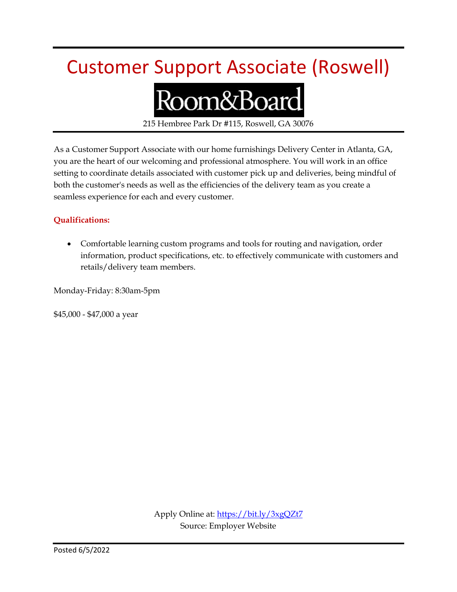### Customer Support Associate (Roswell)

# Room&Board

215 Hembree Park Dr #115, Roswell, GA 30076

As a Customer Support Associate with our home furnishings Delivery Center in Atlanta, GA, you are the heart of our welcoming and professional atmosphere. You will work in an office setting to coordinate details associated with customer pick up and deliveries, being mindful of both the customer's needs as well as the efficiencies of the delivery team as you create a seamless experience for each and every customer.

#### **Qualifications:**

 Comfortable learning custom programs and tools for routing and navigation, order information, product specifications, etc. to effectively communicate with customers and retails/delivery team members.

Monday-Friday: 8:30am-5pm

\$45,000 - \$47,000 a year

Apply Online at[: https://bit.ly/3xgQZt7](https://bit.ly/3xgQZt7) Source: Employer Website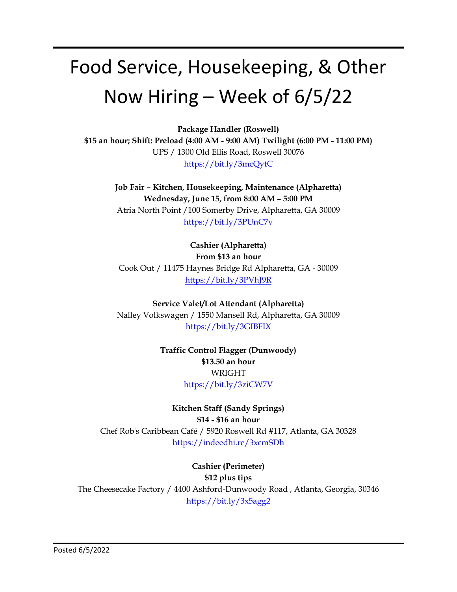### Food Service, Housekeeping, & Other Now Hiring – Week of 6/5/22

**Package Handler (Roswell)**

**\$15 an hour; Shift: Preload (4:00 AM - 9:00 AM) Twilight (6:00 PM - 11:00 PM)** UPS / 1300 Old Ellis Road, Roswell 30076 <https://bit.ly/3mcQytC>

> **Job Fair – Kitchen, Housekeeping, Maintenance (Alpharetta) Wednesday, June 15, from 8:00 AM – 5:00 PM** Atria North Point /100 Somerby Drive, Alpharetta, GA 30009 <https://bit.ly/3PUnC7v>

**Cashier (Alpharetta) From \$13 an hour** Cook Out / 11475 Haynes Bridge Rd Alpharetta, GA - 30009 <https://bit.ly/3PVhJ9R>

**Service Valet/Lot Attendant (Alpharetta)** Nalley Volkswagen / 1550 Mansell Rd, Alpharetta, GA 30009 <https://bit.ly/3GIBFIX>

> **Traffic Control Flagger (Dunwoody) \$13.50 an hour** WRIGHT <https://bit.ly/3ziCW7V>

**Kitchen Staff (Sandy Springs) \$14 - \$16 an hour** Chef Rob's Caribbean Café / 5920 Roswell Rd #117, Atlanta, GA 30328 <https://indeedhi.re/3xcmSDh>

**Cashier (Perimeter) \$12 plus tips** The Cheesecake Factory / 4400 Ashford-Dunwoody Road , Atlanta, Georgia, 30346 <https://bit.ly/3x5agg2>